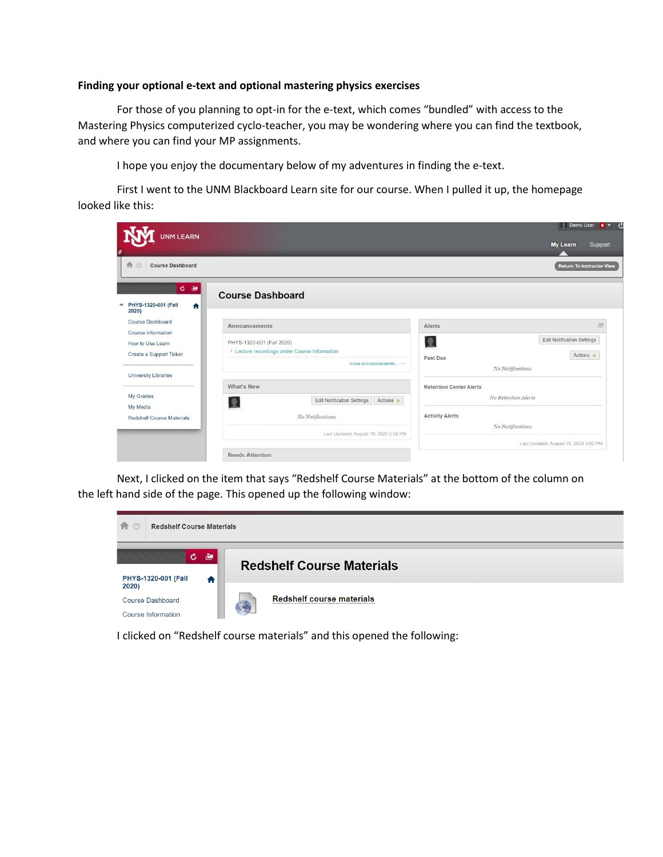## **Finding your optional e-text and optional mastering physics exercises**

For those of you planning to opt-in for the e-text, which comes "bundled" with access to the Mastering Physics computerized cyclo-teacher, you may be wondering where you can find the textbook, and where you can find your MP assignments.

I hope you enjoy the documentary below of my adventures in finding the e-text.

First I went to the UNM Blackboard Learn site for our course. When I pulled it up, the homepage looked like this:

| UNM LEARN<br>8                                                      |                                                                                                   | Demo User 6 <b>T</b><br>My Learn<br>Support                                                 |
|---------------------------------------------------------------------|---------------------------------------------------------------------------------------------------|---------------------------------------------------------------------------------------------|
| 合口<br><b>Course Dashboard</b>                                       |                                                                                                   | <b>Return To Instructor View</b>                                                            |
| 圖<br>$\mathbf{c}$<br>PHYS-1320-001 (Fall<br>$\bullet$<br>▼<br>2020) | <b>Course Dashboard</b>                                                                           |                                                                                             |
| Course Dashboard                                                    | Announcements                                                                                     | Alerts                                                                                      |
| Course Information<br>How to Use Learn<br>Create a Support Ticket   | PHYS-1320-001 (Fall 2020)<br>> Lecture recordings under Course Information<br>more announcements- | <b>Edit Notification Settings</b><br>见<br>Actions $\approx$<br>Past Due<br>No Notifications |
| <b>University Libraries</b>                                         | What's New                                                                                        | <b>Retention Center Alerts</b>                                                              |
| My Grades<br>My Media                                               | <b>Edit Notification Settings</b><br>Actions *<br>۰                                               | No Retention Alerts                                                                         |
| <b>Redshelf Course Materials</b>                                    | No Notifications                                                                                  | <b>Activity Alerts</b><br>No Notifications                                                  |
|                                                                     | Last Updated: August 18, 2020 5:02 PM                                                             | Last Updated: August 18, 2020 5:02 PM                                                       |
|                                                                     | <b>Needs Attention</b>                                                                            |                                                                                             |

Next, I clicked on the item that says "Redshelf Course Materials" at the bottom of the column on the left hand side of the page. This opened up the following window:



I clicked on "Redshelf course materials" and this opened the following: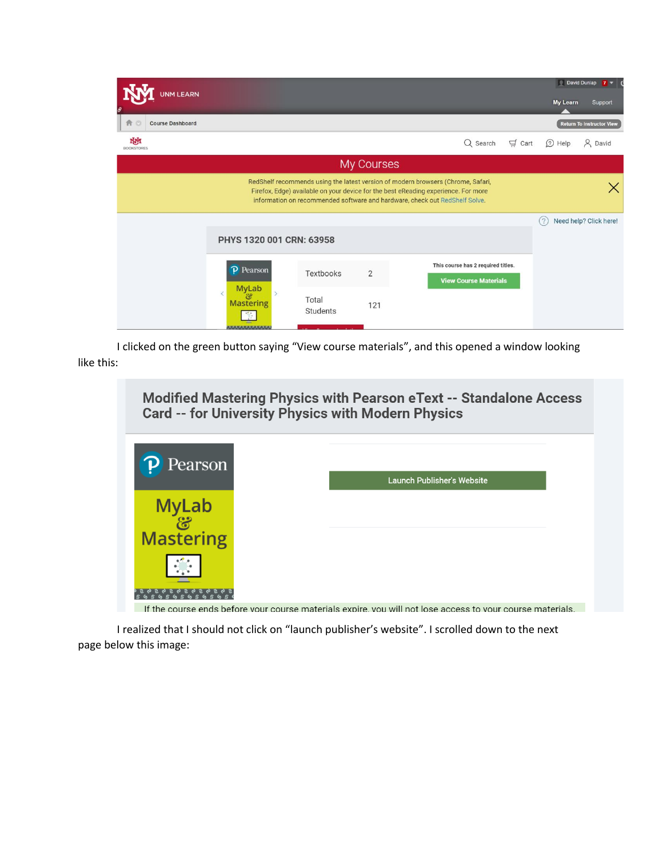| <b>JNM LEARN</b>              |                                             |                   |                |                                                                                                                                                                                                                                                       |             | David Dunlap    | 7 <sub>7</sub>                   |
|-------------------------------|---------------------------------------------|-------------------|----------------|-------------------------------------------------------------------------------------------------------------------------------------------------------------------------------------------------------------------------------------------------------|-------------|-----------------|----------------------------------|
|                               |                                             |                   |                |                                                                                                                                                                                                                                                       |             | <b>My Learn</b> | Support                          |
| 合口<br><b>Course Dashboard</b> |                                             |                   |                |                                                                                                                                                                                                                                                       |             |                 | <b>Return To Instructor View</b> |
| NМ<br><b>BOOKSTORES</b>       |                                             |                   |                | Q Search                                                                                                                                                                                                                                              | $\Box$ Cart | 2 Help          | & David                          |
|                               |                                             |                   | My Courses     |                                                                                                                                                                                                                                                       |             |                 |                                  |
|                               |                                             |                   |                | RedShelf recommends using the latest version of modern browsers (Chrome, Safari,<br>Firefox, Edge) available on your device for the best eReading experience. For more<br>information on recommended software and hardware, check out RedShelf Solve. |             |                 |                                  |
|                               | PHYS 1320 001 CRN: 63958                    |                   |                |                                                                                                                                                                                                                                                       | (2)         |                 | Need help? Click here!           |
|                               | P Pearson                                   | Textbooks         | $\overline{2}$ | This course has 2 required titles.<br><b>View Course Materials</b>                                                                                                                                                                                    |             |                 |                                  |
|                               | <b>MyLab</b><br>ළ<br><b>Mastering</b><br>M. | Total<br>Students | 121            |                                                                                                                                                                                                                                                       |             |                 |                                  |

I clicked on the green button saying "View course materials", and this opened a window looking like this:



If the course ends before vour course materials expire, you will not lose access to your course materials.

I realized that I should not click on "launch publisher's website". I scrolled down to the next page below this image: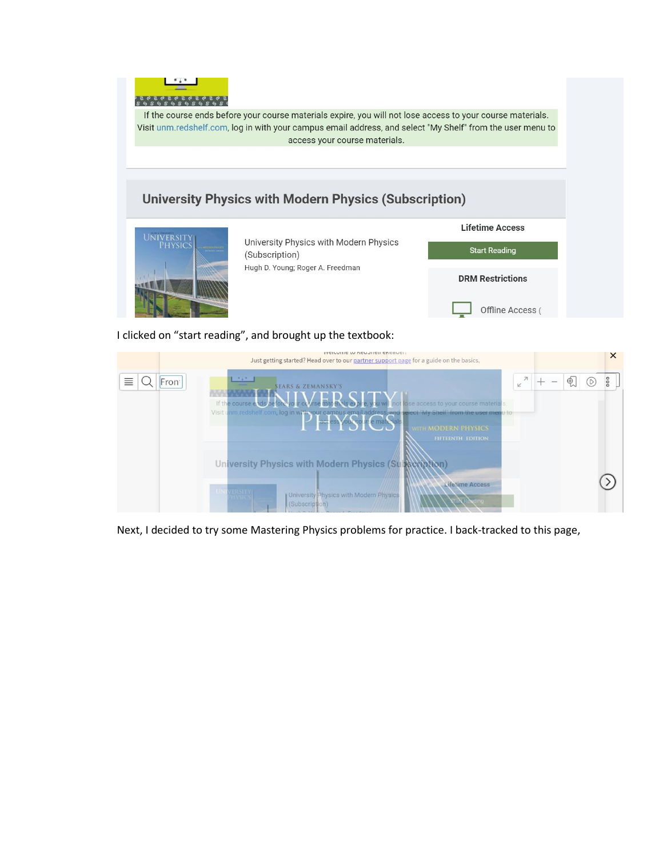

If the course ends before your course materials expire, you will not lose access to your course materials. Visit unm.redshelf.com, log in with your campus email address, and select "My Shelf" from the user menu to access your course materials.

## **University Physics with Modern Physics (Subscription)**



I clicked on "start reading", and brought up the textbook:

|                        | INCIDUITE IN UEN SHEIL CHEQUE!<br>Just getting started? Head over to our partner support page for a guide on the basics.                                                                                                                                                             |                                         |               |     | $\times$ |
|------------------------|--------------------------------------------------------------------------------------------------------------------------------------------------------------------------------------------------------------------------------------------------------------------------------------|-----------------------------------------|---------------|-----|----------|
| ≣<br>Fron <sup>®</sup> | <b>SEARS &amp; ZEMANSKY'S</b><br>If the course a double and a line of the course materials.<br>Visit unmiredshelf.com, log in with your campus email address, and select "My Shelf" from the user menu to<br>PedesYorSoftemaryais<br><b>WITH MODERN PHYSICS</b><br>FIFTEENTH EDITION | $\overline{\mathcal{A}}$<br>$\mathbb K$ | $\mathcal{L}$ | (0) | ooo      |
|                        | University Physics with Modern Physics (St. Kenntion)<br>Lifetime Access<br><b>LINEVERSITY</b><br>University Physics with Modern Physics<br><b>ENSIGS</b><br>(Subscription)                                                                                                          |                                         |               |     |          |

Next, I decided to try some Mastering Physics problems for practice. I back-tracked to this page,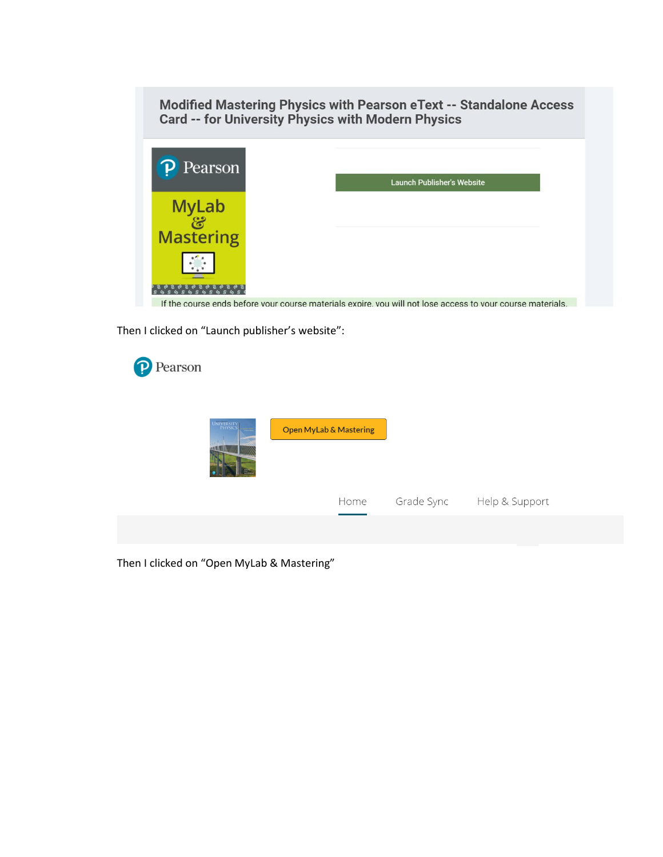Modified Mastering Physics with Pearson eText -- Standalone Access **Card -- for University Physics with Modern Physics** 



If the course ends before vour course materials expire, you will not lose access to vour course materials.

Then I clicked on "Launch publisher's website":



Then I clicked on "Open MyLab & Mastering"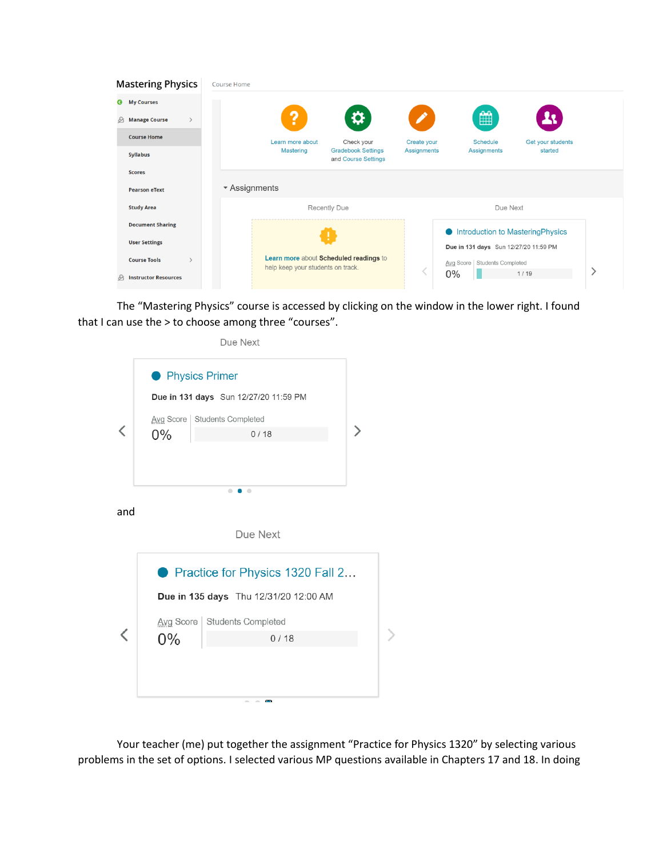| <b>Mastering Physics</b>             | Course Home                       |                                                  |             |                                          |                   |  |
|--------------------------------------|-----------------------------------|--------------------------------------------------|-------------|------------------------------------------|-------------------|--|
| <b>My Courses</b><br>Ø               |                                   |                                                  |             |                                          |                   |  |
| <b>Manage Course</b><br>℅            | ?                                 | Ö                                                |             | ₩                                        |                   |  |
| <b>Course Home</b>                   | Learn more about                  | Check your                                       | Create your | <b>Schedule</b>                          | Get your students |  |
| <b>Syllabus</b>                      | Mastering                         | <b>Gradebook Settings</b><br>and Course Settings | Assignments | <b>Assignments</b>                       | started           |  |
| <b>Scores</b>                        |                                   |                                                  |             |                                          |                   |  |
| <b>Pearson eText</b>                 | ▼ Assignments                     |                                                  |             |                                          |                   |  |
| <b>Study Area</b>                    |                                   | Recently Due                                     |             | Due Next                                 |                   |  |
| <b>Document Sharing</b>              |                                   |                                                  |             | <b>Introduction to Mastering Physics</b> |                   |  |
| <b>User Settings</b>                 |                                   |                                                  |             | Due in 131 days Sun 12/27/20 11:59 PM    |                   |  |
| <b>Course Tools</b><br>$\mathcal{E}$ | help keep your students on track. | Learn more about Scheduled readings to           |             | Avg Score   Students Completed           |                   |  |
| <b>Instructor Resources</b><br>℅     |                                   |                                                  |             | 0%                                       | 1/19              |  |

The "Mastering Physics" course is accessed by clicking on the window in the lower right. I found that I can use the > to choose among three "courses".

|     |                         | Due Next                               |  |
|-----|-------------------------|----------------------------------------|--|
|     | <b>• Physics Primer</b> |                                        |  |
|     |                         | Due in 131 days Sun 12/27/20 11:59 PM  |  |
|     |                         | Avg Score   Students Completed         |  |
|     | $0\%$                   | 0/18                                   |  |
|     |                         |                                        |  |
|     |                         |                                        |  |
|     |                         | $\bullet$<br>$\blacksquare$            |  |
| and |                         |                                        |  |
|     |                         | Due Next                               |  |
|     |                         |                                        |  |
|     |                         | ● Practice for Physics 1320 Fall 2     |  |
|     |                         | Due in 135 days  Thu 12/31/20 12:00 AM |  |
|     |                         | Avg Score   Students Completed         |  |
|     | $0\%$                   | 0/18                                   |  |
|     |                         |                                        |  |
|     |                         |                                        |  |
|     |                         | $\sim$ $\sim$<br>$\sim$                |  |

Your teacher (me) put together the assignment "Practice for Physics 1320" by selecting various problems in the set of options. I selected various MP questions available in Chapters 17 and 18. In doing